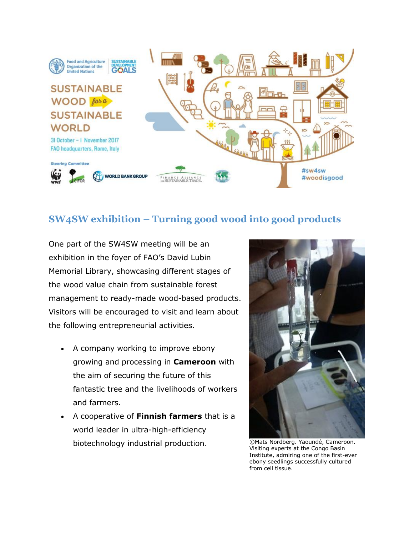

## **SW4SW exhibition – Turning good wood into good products**

One part of the SW4SW meeting will be an exhibition in the foyer of FAO's David Lubin Memorial Library, showcasing different stages of the wood value chain from sustainable forest management to ready-made wood-based products. Visitors will be encouraged to visit and learn about the following entrepreneurial activities.

- A company working to improve ebony growing and processing in **Cameroon** with the aim of securing the future of this fantastic tree and the livelihoods of workers and farmers.
- A cooperative of **Finnish farmers** that is a world leader in ultra-high-efficiency biotechnology industrial production. ©Mats Nordberg. Yaoundé, Cameroon.



Visiting experts at the Congo Basin Institute, admiring one of the first-ever ebony seedlings successfully cultured from cell tissue.